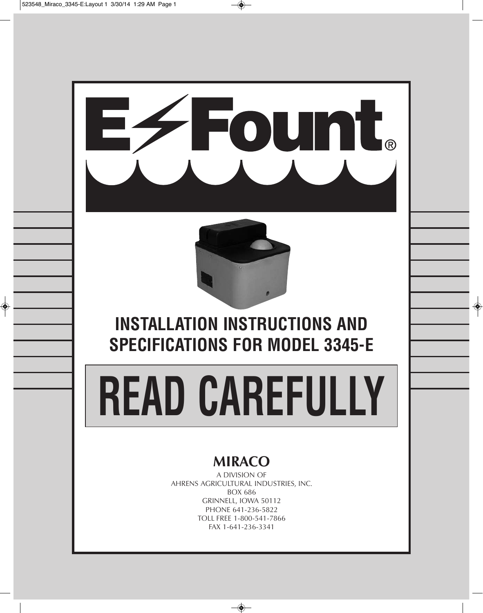

# **MIRACO**

A DIVISION OF AHRENS AGRICULTURAL INDUSTRIES, INC. BOX 686 GRINNELL, IOWA 50112 PHONE 641-236-5822 TOLL FREE 1-800-541-7866 FAX 1-641-236-3341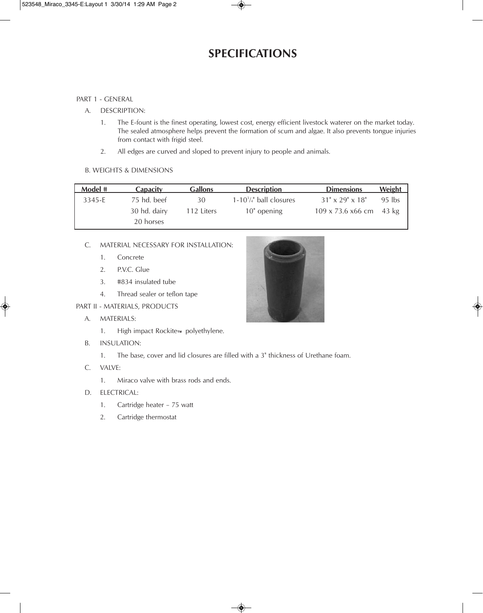### **SPECIFICATIONS**

#### PART 1 - GENERAL

- A. DESCRIPTION:
	- 1. The E-fount is the finest operating, lowest cost, energy efficient livestock waterer on the market today. The sealed atmosphere helps prevent the formation of scum and algae. It also prevents tongue injuries from contact with frigid steel.
	- 2. All edges are curved and sloped to prevent injury to people and animals.

#### B. WEIGHTS & DIMENSIONS

| Model # | Capacity     | <b>Gallons</b> | <b>Description</b>           | <b>Dimensions</b>              | <b>Weight</b> |
|---------|--------------|----------------|------------------------------|--------------------------------|---------------|
| 3345-E  | 75 hd. beef  | 30             | $1-10^{3}/4$ " ball closures | $31'' \times 29'' \times 18''$ | $95$ lbs      |
|         | 30 hd. dairy | 112 Liters     | 10" opening                  | 109 x 73.6 x66 cm              | 43 kg         |
|         | 20 horses    |                |                              |                                |               |

#### C. MATERIAL NECESSARY FOR INSTALLATION:

- 1. Concrete
- 2. P.V.C. Glue
- 3. #834 insulated tube
- 4. Thread sealer or teflon tape

PART II - MATERIALS, PRODUCTS

- A. MATERIALS:
	- 1. High impact Rockite™ polyethylene.
- B. INSULATION:
	- 1. The base, cover and lid closures are filled with a 3" thickness of Urethane foam.
- C. VALVE:
	- 1. Miraco valve with brass rods and ends.
- D. ELECTRICAL:
	- 1. Cartridge heater 75 watt
	- 2. Cartridge thermostat

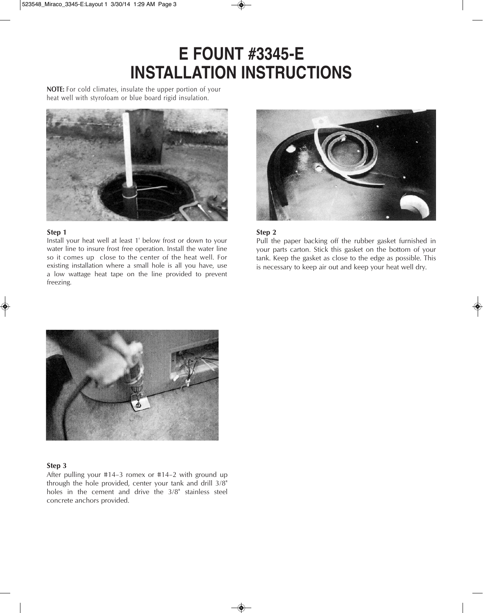# **E FOUNT #3345-E INSTALLATION INSTRUCTIONS**

**NOTE:** For cold climates, insulate the upper portion of your heat well with styrofoam or blue board rigid insulation.



#### **Step 1**

Install your heat well at least 1' below frost or down to your water line to insure frost free operation. Install the water line so it comes up close to the center of the heat well. For existing installation where a small hole is all you have, use a low wattage heat tape on the line provided to prevent freezing.



#### **Step 2**

Pull the paper backing off the rubber gasket furnished in your parts carton. Stick this gasket on the bottom of your tank. Keep the gasket as close to the edge as possible. This is necessary to keep air out and keep your heat well dry.



#### **Step 3**

After pulling your #14–3 romex or #14–2 with ground up through the hole provided, center your tank and drill 3/8" holes in the cement and drive the 3/8" stainless steel concrete anchors provided.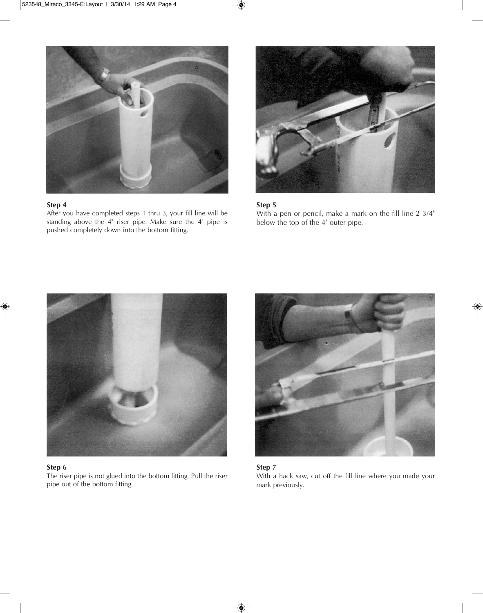

After you have completed steps 1 thru 3, your fill line will be standing above the 4" riser pipe. Make sure the 4" pipe is pushed completely down into the bottom fitting.



#### **Step 5**

With a pen or pencil, make a mark on the fill line 2 3/4" below the top of the 4" outer pipe.



#### **Step 6**

The riser pipe is not glued into the bottom fitting. Pull the riser pipe out of the bottom fitting.



#### **Step 7**

With a hack saw, cut off the fill line where you made your mark previously.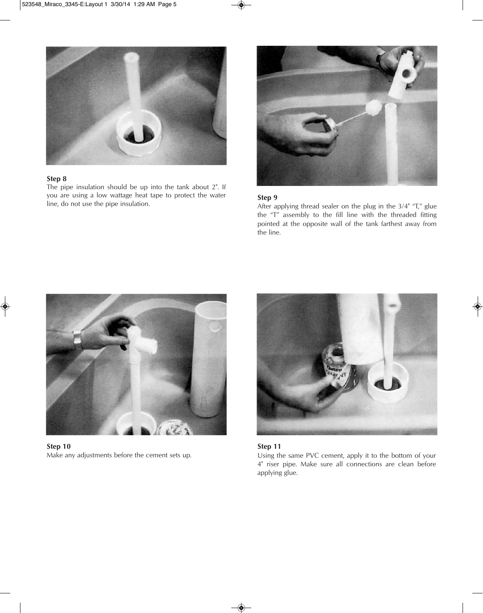

The pipe insulation should be up into the tank about 2". If you are using a low wattage heat tape to protect the water line, do not use the pipe insulation. **Step 9**



After applying thread sealer on the plug in the 3/4" "T," glue the "T" assembly to the fill line with the threaded fitting pointed at the opposite wall of the tank farthest away from the line.



**Step 10** Make any adjustments before the cement sets up.



#### **Step 11**

Using the same PVC cement, apply it to the bottom of your 4" riser pipe. Make sure all connections are clean before applying glue.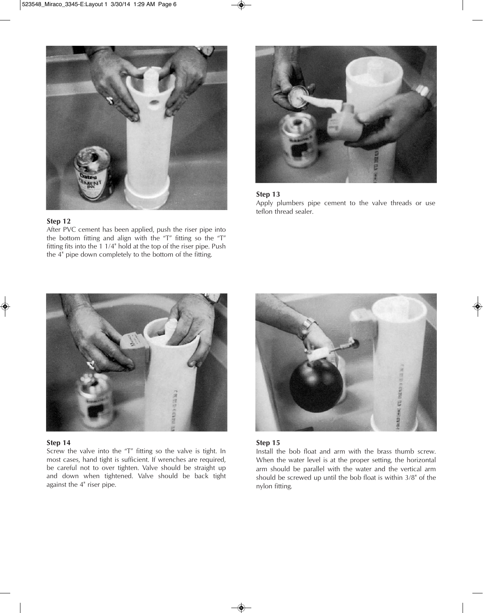

After PVC cement has been applied, push the riser pipe into the bottom fitting and align with the "T" fitting so the "T" fitting fits into the 1 1/4" hold at the top of the riser pipe. Push the 4" pipe down completely to the bottom of the fitting.



#### **Step 13**

Apply plumbers pipe cement to the valve threads or use teflon thread sealer.



#### **Step 14**

Screw the valve into the "T" fitting so the valve is tight. In most cases, hand tight is sufficient. If wrenches are required, be careful not to over tighten. Valve should be straight up and down when tightened. Valve should be back tight against the 4" riser pipe.



#### **Step 15**

Install the bob float and arm with the brass thumb screw. When the water level is at the proper setting, the horizontal arm should be parallel with the water and the vertical arm should be screwed up until the bob float is within 3/8" of the nylon fitting.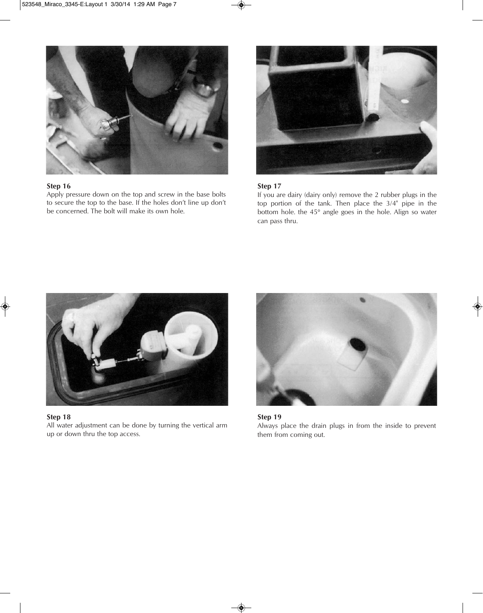

Apply pressure down on the top and screw in the base bolts to secure the top to the base. If the holes don't line up don't be concerned. The bolt will make its own hole.



#### **Step 17**

If you are dairy (dairy only) remove the 2 rubber plugs in the top portion of the tank. Then place the 3/4" pipe in the bottom hole. the 45° angle goes in the hole. Align so water can pass thru.



**Step 18**

All water adjustment can be done by turning the vertical arm up or down thru the top access.



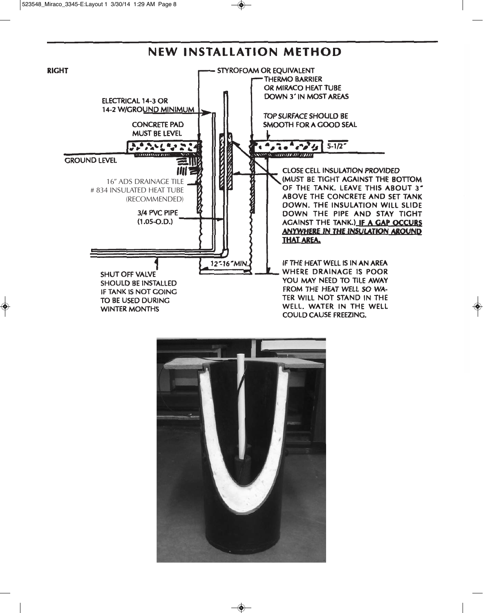### **NEW INSTALLATION METHOD**



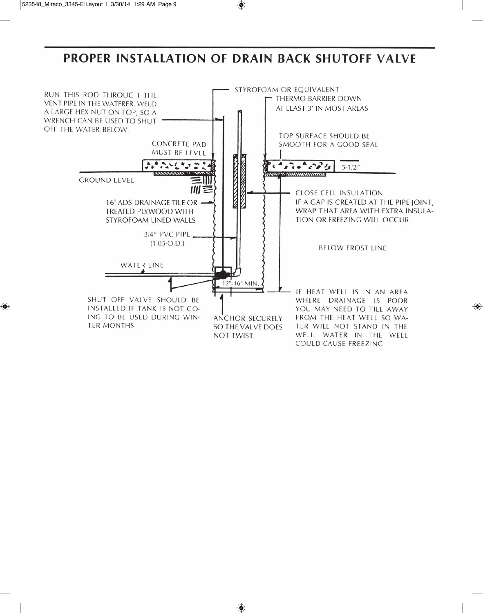## PROPER INSTALLATION OF DRAIN BACK SHUTOFF VALVE

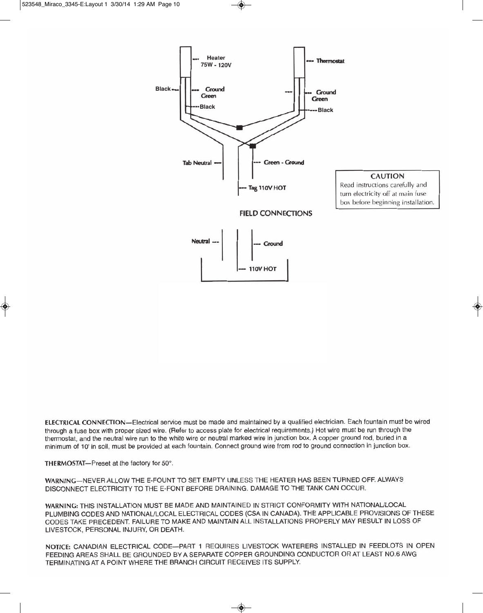

ELECTRICAL CONNECTION-Electrical service must be made and maintained by a qualified electrician. Each fountain must be wired through a fuse box with proper sized wire. (Refer to access plate for electrical requirements.) Hot wire must be run through the thermostat, and the neutral wire run to the white wire or neutral marked wire in junction box. A copper ground rod, buried in a minimum of 10' in soil, must be provided at each fountain. Connect ground wire from rod to ground connection in junction box.

THERMOSTAT-Preset at the factory for 50°.

WARNING-NEVER ALLOW THE E-FOUNT TO SET EMPTY UNLESS THE HEATER HAS BEEN TURNED OFF. ALWAYS DISCONNECT ELECTRICITY TO THE E-FONT BEFORE DRAINING. DAMAGE TO THE TANK CAN OCCUR.

WARNING: THIS INSTALLATION MUST BE MADE AND MAINTAINED IN STRICT CONFORMITY WITH NATIONAL/LOCAL PLUMBING CODES AND NATIONAL/LOCAL ELECTRICAL CODES (CSA IN CANADA). THE APPLICABLE PROVISIONS OF THESE CODES TAKE PRECEDENT. FAILURE TO MAKE AND MAINTAIN ALL INSTALLATIONS PROPERLY MAY RESULT IN LOSS OF LIVESTOCK, PERSONAL INJURY, OR DEATH.

NOTICE: CANADIAN ELECTRICAL CODE-PART 1 REQUIRES LIVESTOCK WATERERS INSTALLED IN FEEDLOTS IN OPEN FEEDING AREAS SHALL BE GROUNDED BY A SEPARATE COPPER GROUNDING CONDUCTOR OR AT LEAST NO.6 AWG TERMINATING AT A POINT WHERE THE BRANCH CIRCUIT RECEIVES ITS SUPPLY.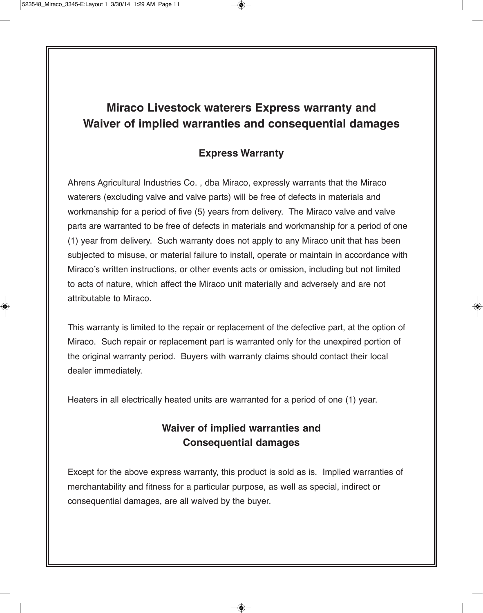### **Miraco Livestock waterers Express warranty and Waiver of implied warranties and consequential damages**

### **Express Warranty**

Ahrens Agricultural Industries Co. , dba Miraco, expressly warrants that the Miraco waterers (excluding valve and valve parts) will be free of defects in materials and workmanship for a period of five (5) years from delivery. The Miraco valve and valve parts are warranted to be free of defects in materials and workmanship for a period of one (1) year from delivery. Such warranty does not apply to any Miraco unit that has been subjected to misuse, or material failure to install, operate or maintain in accordance with Miraco's written instructions, or other events acts or omission, including but not limited to acts of nature, which affect the Miraco unit materially and adversely and are not attributable to Miraco.

This warranty is limited to the repair or replacement of the defective part, at the option of Miraco. Such repair or replacement part is warranted only for the unexpired portion of the original warranty period. Buyers with warranty claims should contact their local dealer immediately.

Heaters in all electrically heated units are warranted for a period of one (1) year.

### **Waiver of implied warranties and Consequential damages**

Except for the above express warranty, this product is sold as is. Implied warranties of merchantability and fitness for a particular purpose, as well as special, indirect or consequential damages, are all waived by the buyer.